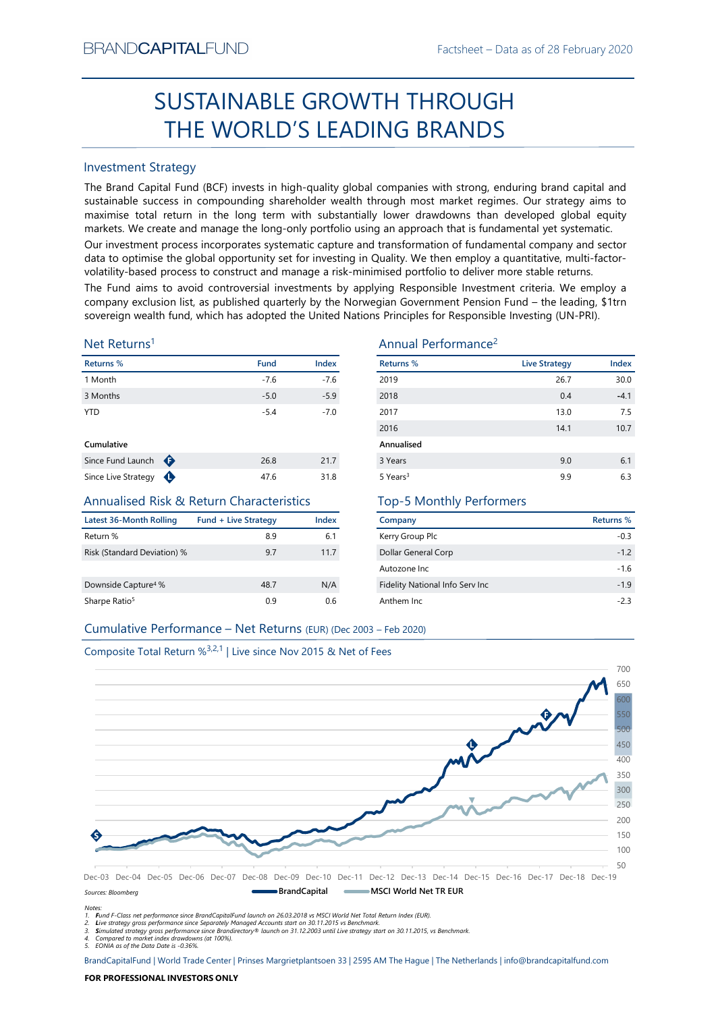# Factsheet – Data as of 28 February 2020<br> **ROUGH** SUSTAINABLE GROWTH THROUGH THE WORLD'S LEADING BRANDS

# Investment Strategy

EVAND CAPTIALT-UND<br>
Factsineet – Dasa as of 28 Feoruary 2020<br>
SUSTAINABLE GROWTH THROUGH<br>
THE WORLD'S LEADING BRANDS<br>
Investment Strategy<br>
The Brand Captib Fund Index is in high-quality global companies with strong, endur SUSTAINABLE GROWTH THROUGH<br>
THE WORLD'S LEADING BRANDS<br>
Investment Strategy<br>
IThe Brand Gapital Fund (8CF) invests in high-quality global companies with strong, enduring brand capital and<br>
sustainable success in compoundi BRAND**CAPITAL**FUND<br>
SUSTAINABLE GROWTH THROUGH<br>
THE WORLD'S LEADING BRANDS<br>
Investment Strategy<br>
The Brand Capital Fund (BCF) invests in high-quality global companies with strong, enduring brand capital and<br>
sustainable su BRAND**CAPITAL**FUND<br>
Factsheet – Data as of 28 February 2020<br> **SUSTAINABLE GROWTH THROUGH**<br> **THE WORLD'S LEADING BRANDS**<br>
Investment Strategy<br>
The Brand Capital Fund (BCF) invests in high-quality global companies with stron EXANDCAPITALFUND<br>
Factsheet – Data as of 28 February 2020<br>
SUSTAINABLE GROWTH THROUGH<br>
THE WORLD'S LEADING BRANDS<br>
Investment Strategy<br>
The Brand Capital Fund (BCF) invests in high-quality global companies with strong, end BRAND**CAPITAL**FUND<br>
Factsheet – Data as of 28 February 2020<br>
SUSTAINABLE GROWTH THROUGH<br>
THE WORLD'S LEADING BRANDS<br>
Investment Strategy<br>
Investment Strategy<br>
The Brand Capital Fund (BCF) invests in high-quality global com BRAND**CAPITAL**FUND<br>
Factsheet – Data as of 28 February 2020<br>
SUSTAINABLE GROWTH THROUGH<br>
THE WORLD'S LEADING BRANDS<br>
Investment Strategy<br>
Investment Strategy<br>
Investment Strategy<br>
Investment Strategy<br>
and Captal Fund (IGC) BRAND**CAPITAL**FUND<br>
SUSTAINABLE GROWTH THROUGH<br>
THE WORLD'S LEADING BRANDS<br>
Investment Strategy<br>
The Brand Capital Fund (BCF) invests in high-quality global companies with strong, enduring brand capital and<br>
The Brand Capi BRANDCAPITALFUND<br>
SUSTAINABLE GROWTH THROUGH<br>
THE WORLD'S LEADING BRANDS<br>
Investment Strategy<br>
The Brand Capital Fund (BCF) invests in high-quality global companies with strong, enduring brand capital and<br>
sustainable succ BRANDCAPITALFUND<br>
SUSTAINABLE GROWTH THROUGH<br>
THE WORLD'S LEADING BRANDS<br>
Investment Strategy<br>
Investment Strategy<br>
Investment Strategy<br>
Investment Strategy<br>
Sustainable success in compounding shareholder wealth through mo **EXAMDCAPITALFUND**<br>
SUSTAINABLE GROWTH THROUGH<br>
THE WORLD'S LEADING BRANDS<br>
Investment Strategy<br>
The Brand Capital Fund (BCF) invests in high-quality global companies with strong, enduring brand capital and<br>
sustsismable BRANDCAPITALFUND<br>
SUSTAINABLE GROWTH THROUGH<br>
THE WORLD'S LEADING BRANDS<br>
Investment Strategy<br>
Investment Strategy<br>
Investment Strategy<br>
Investment Strategy<br>
Sustainable success in compounding shareholder wealth funoupl m

# Net Returns1

| Returns %         |   | <b>Fund</b> | <b>Index</b> |
|-------------------|---|-------------|--------------|
| 1 Month           |   | $-7.6$      | $-7.6$       |
| 3 Months          |   | $-5.0$      | $-5.9$       |
| <b>YTD</b>        |   | $-5.4$      | $-7.0$       |
| Cumulative        |   |             |              |
| Since Fund Launch | ⊕ | 26.8        | 21.7         |

# Annualised Risk & Return Characteristics

| Latest 36-Month Rolling         | <b>Fund + Live Strategy</b> | Index |
|---------------------------------|-----------------------------|-------|
| Return %                        | 8.9                         | 6.1   |
| Risk (Standard Deviation) %     | 9.7                         | 11.7  |
|                                 |                             |       |
| Downside Capture <sup>4</sup> % | 48.7                        | N/A   |
| Sharpe Ratio <sup>5</sup>       | 0.9                         | 0.6   |

# Annual Performance2

| BRANU <b>UAPHAL</b> FUND                                                      |                             |             |              |                                                                                                                                                                                                                                                                                                                                                                                                                                                                                                                                                                  | Hactsheet – Data as of 28 February 2020 |           |
|-------------------------------------------------------------------------------|-----------------------------|-------------|--------------|------------------------------------------------------------------------------------------------------------------------------------------------------------------------------------------------------------------------------------------------------------------------------------------------------------------------------------------------------------------------------------------------------------------------------------------------------------------------------------------------------------------------------------------------------------------|-----------------------------------------|-----------|
|                                                                               |                             |             |              | SUSTAINABLE GROWTH THROUGH                                                                                                                                                                                                                                                                                                                                                                                                                                                                                                                                       |                                         |           |
|                                                                               |                             |             |              | THE WORLD'S LEADING BRANDS                                                                                                                                                                                                                                                                                                                                                                                                                                                                                                                                       |                                         |           |
| <b>Investment Strategy</b>                                                    |                             |             |              |                                                                                                                                                                                                                                                                                                                                                                                                                                                                                                                                                                  |                                         |           |
|                                                                               |                             |             |              | The Brand Capital Fund (BCF) invests in high-quality global companies with strong, enduring brand capital and<br>sustainable success in compounding shareholder wealth through most market regimes. Our strategy aims to<br>maximise total return in the long term with substantially lower drawdowns than developed global equity<br>markets. We create and manage the long-only portfolio using an approach that is fundamental yet systematic.<br>Our investment process incorporates systematic capture and transformation of fundamental company and sector |                                         |           |
|                                                                               |                             |             |              | data to optimise the global opportunity set for investing in Quality. We then employ a quantitative, multi-factor-<br>volatility-based process to construct and manage a risk-minimised portfolio to deliver more stable returns.                                                                                                                                                                                                                                                                                                                                |                                         |           |
|                                                                               |                             |             |              | The Fund aims to avoid controversial investments by applying Responsible Investment criteria. We employ a                                                                                                                                                                                                                                                                                                                                                                                                                                                        |                                         |           |
|                                                                               |                             |             |              | company exclusion list, as published quarterly by the Norwegian Government Pension Fund - the leading, \$1trn                                                                                                                                                                                                                                                                                                                                                                                                                                                    |                                         |           |
|                                                                               |                             |             |              | sovereign wealth fund, which has adopted the United Nations Principles for Responsible Investing (UN-PRI).                                                                                                                                                                                                                                                                                                                                                                                                                                                       |                                         |           |
| Net Returns <sup>1</sup>                                                      |                             |             |              | Annual Performance <sup>2</sup>                                                                                                                                                                                                                                                                                                                                                                                                                                                                                                                                  |                                         |           |
| Returns %                                                                     |                             | <b>Fund</b> | Index        | <b>Returns %</b>                                                                                                                                                                                                                                                                                                                                                                                                                                                                                                                                                 | <b>Live Strategy</b>                    | Index     |
| 1 Month                                                                       |                             | $-7.6$      | $-7.6$       | 2019                                                                                                                                                                                                                                                                                                                                                                                                                                                                                                                                                             | 26.7                                    | 30.0      |
| 3 Months                                                                      |                             | $-5.0$      | $-5.9$       | 2018                                                                                                                                                                                                                                                                                                                                                                                                                                                                                                                                                             | 0.4                                     | $-4.1$    |
| <b>YTD</b>                                                                    |                             | $-5.4$      | $-7.0$       | 2017                                                                                                                                                                                                                                                                                                                                                                                                                                                                                                                                                             | 13.0                                    | 7.5       |
|                                                                               |                             |             |              | 2016                                                                                                                                                                                                                                                                                                                                                                                                                                                                                                                                                             | 14.1                                    | 10.7      |
| Cumulative                                                                    |                             |             |              | Annualised                                                                                                                                                                                                                                                                                                                                                                                                                                                                                                                                                       |                                         |           |
| Since Fund Launch $\bigoplus$                                                 |                             | 26.8        | 21.7         | 3 Years                                                                                                                                                                                                                                                                                                                                                                                                                                                                                                                                                          | 9.0                                     | 6.1       |
| Since Live Strategy $\bigoplus$                                               |                             | 47.6        | 31.8         | 5 Years <sup>3</sup>                                                                                                                                                                                                                                                                                                                                                                                                                                                                                                                                             | 9.9                                     | 6.3       |
| <b>Annualised Risk &amp; Return Characteristics</b>                           |                             |             |              | <b>Top-5 Monthly Performers</b>                                                                                                                                                                                                                                                                                                                                                                                                                                                                                                                                  |                                         |           |
| <b>Latest 36-Month Rolling</b>                                                | <b>Fund + Live Strategy</b> |             | <b>Index</b> | Company                                                                                                                                                                                                                                                                                                                                                                                                                                                                                                                                                          |                                         | Returns % |
| Return %                                                                      |                             | 8.9         | 6.1          | Kerry Group Plc                                                                                                                                                                                                                                                                                                                                                                                                                                                                                                                                                  |                                         | $-0.3$    |
| Risk (Standard Deviation) %                                                   |                             | 9.7         | 11.7         | Dollar General Corp                                                                                                                                                                                                                                                                                                                                                                                                                                                                                                                                              |                                         | $-1.2$    |
|                                                                               |                             |             |              | Autozone Inc                                                                                                                                                                                                                                                                                                                                                                                                                                                                                                                                                     |                                         | $-1.6$    |
| Downside Capture <sup>4</sup> %                                               |                             | 48.7        | N/A          | Fidelity National Info Serv Inc                                                                                                                                                                                                                                                                                                                                                                                                                                                                                                                                  |                                         | $-1.9$    |
| Sharpe Ratio <sup>5</sup>                                                     |                             | 0.9         | 0.6          | Anthem Inc                                                                                                                                                                                                                                                                                                                                                                                                                                                                                                                                                       |                                         | $-2.3$    |
|                                                                               |                             |             |              |                                                                                                                                                                                                                                                                                                                                                                                                                                                                                                                                                                  |                                         |           |
| Cumulative Performance - Net Returns (EUR) (Dec 2003 - Feb 2020)              |                             |             |              |                                                                                                                                                                                                                                                                                                                                                                                                                                                                                                                                                                  |                                         |           |
| Composite Total Return % <sup>3,2,1</sup>   Live since Nov 2015 & Net of Fees |                             |             |              |                                                                                                                                                                                                                                                                                                                                                                                                                                                                                                                                                                  |                                         |           |
|                                                                               |                             |             |              |                                                                                                                                                                                                                                                                                                                                                                                                                                                                                                                                                                  |                                         | 700       |
|                                                                               |                             |             |              |                                                                                                                                                                                                                                                                                                                                                                                                                                                                                                                                                                  |                                         |           |
|                                                                               |                             |             |              |                                                                                                                                                                                                                                                                                                                                                                                                                                                                                                                                                                  |                                         |           |
|                                                                               |                             |             |              |                                                                                                                                                                                                                                                                                                                                                                                                                                                                                                                                                                  |                                         |           |

# Top-5 Monthly Performers

| Company                                 | Returns % |
|-----------------------------------------|-----------|
| Kerry Group Plc                         | $-0.3$    |
| Dollar General Corp                     | $-1.2$    |
| Autozone Inc.                           | $-16$     |
| <b>Fidelity National Info Serv Inc.</b> | $-1.9$    |
| Anthem Inc.                             | $-23$     |



Notes:

1. Fund F-Class net performance since BrandCapitalFund launch on 26.03.2018 vs MSCI World Net Total Return Index (EUR).

2. Live strategy gross performance since Separately Managed Accounts start on 30.11.2015 vs Benchmark.<br>3. Simulated strategy gross performance since Brandirectory® launch on 31.12.2003 until Live strategy start on 30.11.20

5. EONIA as of the Data Date is -0.36%.